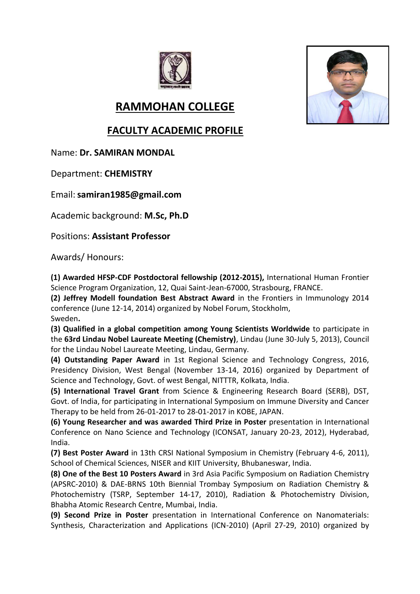



## **RAMMOHAN COLLEGE**

## **FACULTY ACADEMIC PROFILE**

Name: **Dr. SAMIRAN MONDAL**

Department: **CHEMISTRY**

Email:**samiran1985@gmail.com**

Academic background: **M.Sc, Ph.D**

Positions: **Assistant Professor** 

Awards/ Honours:

**(1) Awarded HFSP-CDF Postdoctoral fellowship (2012-2015),** International Human Frontier Science Program Organization, 12, Quai Saint-Jean-67000, Strasbourg, FRANCE.

**(2) Jeffrey Modell foundation Best Abstract Award** in the Frontiers in Immunology 2014 conference (June 12-14, 2014) organized by Nobel Forum, Stockholm,

Sweden**.** 

**(3) Qualified in a global competition among Young Scientists Worldwide** to participate in the **63rd Lindau Nobel Laureate Meeting (Chemistry)**, Lindau (June 30-July 5, 2013), Council for the Lindau Nobel Laureate Meeting, Lindau, Germany.

**(4) Outstanding Paper Award** in 1st Regional Science and Technology Congress, 2016, Presidency Division, West Bengal (November 13-14, 2016) organized by Department of Science and Technology, Govt. of west Bengal, NITTTR, Kolkata, India.

**(5) International Travel Grant** from Science & Engineering Research Board (SERB), DST, Govt. of India, for participating in International Symposium on Immune Diversity and Cancer Therapy to be held from 26-01-2017 to 28-01-2017 in KOBE, JAPAN.

**(6) Young Researcher and was awarded Third Prize in Poster** presentation in International Conference on Nano Science and Technology (ICONSAT, January 20-23, 2012), Hyderabad, India.

**(7) Best Poster Award** in 13th CRSI National Symposium in Chemistry (February 4-6, 2011), School of Chemical Sciences, NISER and KIIT University, Bhubaneswar, India.

**(8) One of the Best 10 Posters Award** in 3rd Asia Pacific Symposium on Radiation Chemistry (APSRC-2010) & DAE-BRNS 10th Biennial Trombay Symposium on Radiation Chemistry & Photochemistry (TSRP, September 14-17, 2010), Radiation & Photochemistry Division, Bhabha Atomic Research Centre, Mumbai, India.

**(9) Second Prize in Poster** presentation in International Conference on Nanomaterials: Synthesis, Characterization and Applications (ICN-2010) (April 27-29, 2010) organized by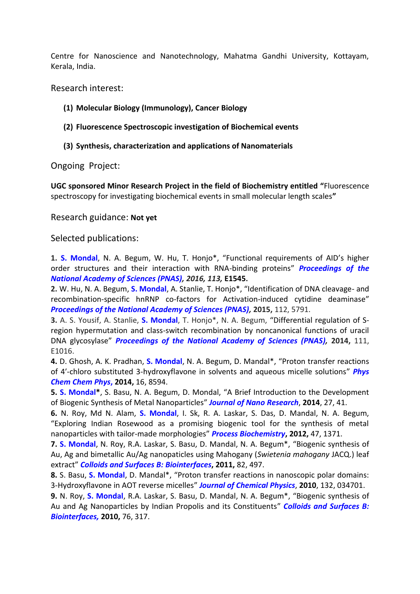Centre for Nanoscience and Nanotechnology, Mahatma Gandhi University, Kottayam, Kerala, India.

Research interest:

- **(1) Molecular Biology (Immunology), Cancer Biology**
- **(2) Fluorescence Spectroscopic investigation of Biochemical events**
- **(3) Synthesis, characterization and applications of Nanomaterials**

Ongoing Project:

**UGC sponsored Minor Research Project in the field of Biochemistry entitled "**Fluorescence spectroscopy for investigating biochemical events in small molecular length scales**"**

Research guidance: **Not yet**

Selected publications:

**1. S. Mondal**, N. A. Begum, W. Hu, T. Honjo\*, "Functional requirements of AID's higher order structures and their interaction with RNA-binding proteins" *Proceedings of the National Academy of Sciences (PNAS), 2016, 113,* **E1545.**

**2.** W. Hu, N. A. Begum, **S. Mondal**, A. Stanlie, T. Honjo\*, "Identification of DNA cleavage- and recombination-specific hnRNP co-factors for Activation-induced cytidine deaminase" *Proceedings of the National Academy of Sciences (PNAS),* **2015,** 112, 5791.

**3.** A. S. Yousif, A. Stanlie, **S. Mondal**, T. Honjo\*, N. A. Begum, "Differential regulation of Sregion hypermutation and class-switch recombination by noncanonical functions of uracil DNA glycosylase" *Proceedings of the National Academy of Sciences (PNAS),* **2014,** 111, E1016.

**4.** D. Ghosh, A. K. Pradhan, **S. Mondal**, N. A. Begum, D. Mandal\*, "Proton transfer reactions of 4′-chloro substituted 3-hydroxyflavone in solvents and aqueous micelle solutions" *Phys Chem Chem Phys***, 2014,** 16, 8594.

**5. S. Mondal\***, S. Basu, N. A. Begum, D. Mondal, "A Brief Introduction to the Development of Biogenic Synthesis of Metal Nanoparticles" *Journal of Nano Research*, **2014**, 27, 41.

**6.** N. Roy, Md N. Alam, **S. Mondal**, I. Sk, R. A. Laskar, S. Das, D. Mandal, N. A. Begum, "Exploring Indian Rosewood as a promising biogenic tool for the synthesis of metal nanoparticles with tailor-made morphologies" *Process Biochemistry***, 2012,** 47, 1371.

**7. S. Mondal**, N. Roy, R.A. Laskar, S. Basu, D. Mandal, N. A. Begum\*, "Biogenic synthesis of Au, Ag and bimetallic Au/Ag nanopaticles using Mahogany (*Swietenia mahogany* JACQ.) leaf extract" *Colloids and Surfaces B: Biointerfaces***, 2011,** 82, 497.

**8.** S. Basu, **S. Mondal**, D. Mandal\*, "Proton transfer reactions in nanoscopic polar domains: 3-Hydroxyflavone in AOT reverse micelles" *Journal of Chemical Physics*, **2010**, 132, 034701.

**9.** N. Roy, **S. Mondal**, R.A. Laskar, S. Basu, D. Mandal, N. A. Begum\*, "Biogenic synthesis of Au and Ag Nanoparticles by Indian Propolis and its Constituents" *Colloids and Surfaces B: Biointerfaces,* **2010,** 76, 317.